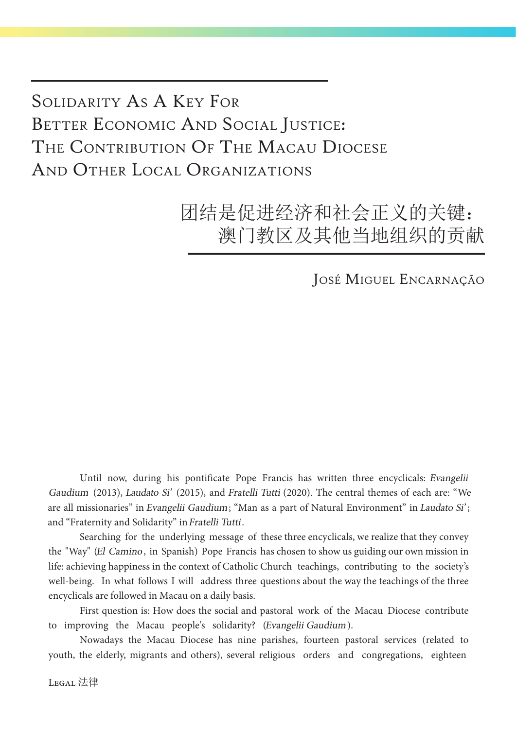## Solidarity As A Key For BETTER ECONOMIC AND SOCIAL JUSTICE: THE CONTRIBUTION OF THE MACAU DIOCESE And Other Local Organizations

团结是促进经济和社会正义的关键: 澳门教区及其他当地组织的贡献

José Miguel Encarnação

Until now, during his pontificate Pope Francis has written three encyclicals: Evangelii Gaudium (2013), Laudato Si' (2015), and Fratelli Tutti (2020). The central themes of each are: "We are all missionaries" in Evangelii Gaudium; "Man as a part of Natural Environment" in Laudato Si'; and "Fraternity and Solidarity" in Fratelli Tutti.

Searching for the underlying message of these three encyclicals, we realize that they convey the "Way" (El Camino, in Spanish) Pope Francis has chosen to show us guiding our own mission in life: achieving happiness in the context of Catholic Church teachings, contributing to the society's well-being. In what follows I will address three questions about the way the teachings of the three encyclicals are followed in Macau on a daily basis.

First question is: How does the social and pastoral work of the Macau Diocese contribute to improving the Macau people's solidarity? (Evangelii Gaudium).

Nowadays the Macau Diocese has nine parishes, fourteen pastoral services (related to youth, the elderly, migrants and others), several religious orders and congregations, eighteen

Legal 法律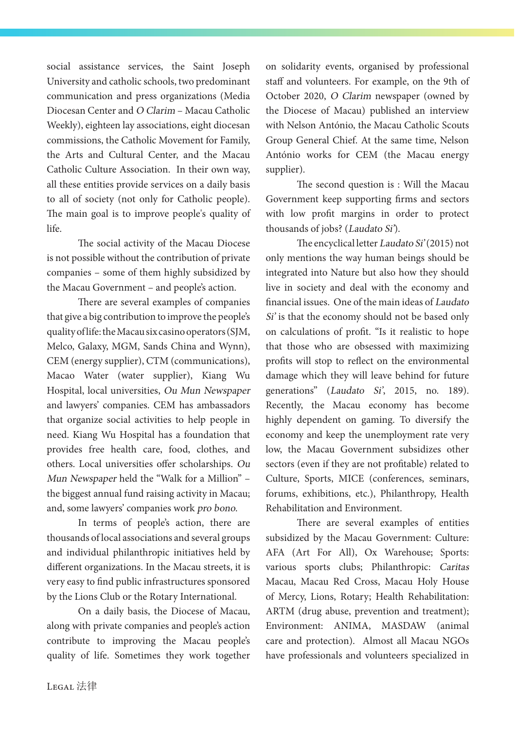social assistance services, the Saint Joseph University and catholic schools, two predominant communication and press organizations (Media Diocesan Center and O Clarim – Macau Catholic Weekly), eighteen lay associations, eight diocesan commissions, the Catholic Movement for Family, the Arts and Cultural Center, and the Macau Catholic Culture Association. In their own way, all these entities provide services on a daily basis to all of society (not only for Catholic people). The main goal is to improve people's quality of life.

The social activity of the Macau Diocese is not possible without the contribution of private companies – some of them highly subsidized by the Macau Government – and people's action.

There are several examples of companies that give a big contribution to improve the people's quality of life: the Macau six casino operators (SJM, Melco, Galaxy, MGM, Sands China and Wynn), CEM (energy supplier), CTM (communications), Macao Water (water supplier), Kiang Wu Hospital, local universities, Ou Mun Newspaper and lawyers' companies. CEM has ambassadors that organize social activities to help people in need. Kiang Wu Hospital has a foundation that provides free health care, food, clothes, and others. Local universities offer scholarships. Ou Mun Newspaper held the "Walk for a Million" – the biggest annual fund raising activity in Macau; and, some lawyers' companies work pro bono.

In terms of people's action, there are thousands of local associations and several groups and individual philanthropic initiatives held by different organizations. In the Macau streets, it is very easy to find public infrastructures sponsored by the Lions Club or the Rotary International.

On a daily basis, the Diocese of Macau, along with private companies and people's action contribute to improving the Macau people's quality of life. Sometimes they work together on solidarity events, organised by professional staff and volunteers. For example, on the 9th of October 2020, O Clarim newspaper (owned by the Diocese of Macau) published an interview with Nelson António, the Macau Catholic Scouts Group General Chief. At the same time, Nelson António works for CEM (the Macau energy supplier).

The second question is : Will the Macau Government keep supporting firms and sectors with low profit margins in order to protect thousands of jobs? (Laudato Si').

The encyclical letter Laudato Si' (2015) not only mentions the way human beings should be integrated into Nature but also how they should live in society and deal with the economy and financial issues. One of the main ideas of Laudato Si' is that the economy should not be based only on calculations of profit. "Is it realistic to hope that those who are obsessed with maximizing profits will stop to reflect on the environmental damage which they will leave behind for future generations" (Laudato Si', 2015, no. 189). Recently, the Macau economy has become highly dependent on gaming. To diversify the economy and keep the unemployment rate very low, the Macau Government subsidizes other sectors (even if they are not profitable) related to Culture, Sports, MICE (conferences, seminars, forums, exhibitions, etc.), Philanthropy, Health Rehabilitation and Environment.

There are several examples of entities subsidized by the Macau Government: Culture: AFA (Art For All), Ox Warehouse; Sports: various sports clubs; Philanthropic: Caritas Macau, Macau Red Cross, Macau Holy House of Mercy, Lions, Rotary; Health Rehabilitation: ARTM (drug abuse, prevention and treatment); Environment: ANIMA, MASDAW (animal care and protection). Almost all Macau NGOs have professionals and volunteers specialized in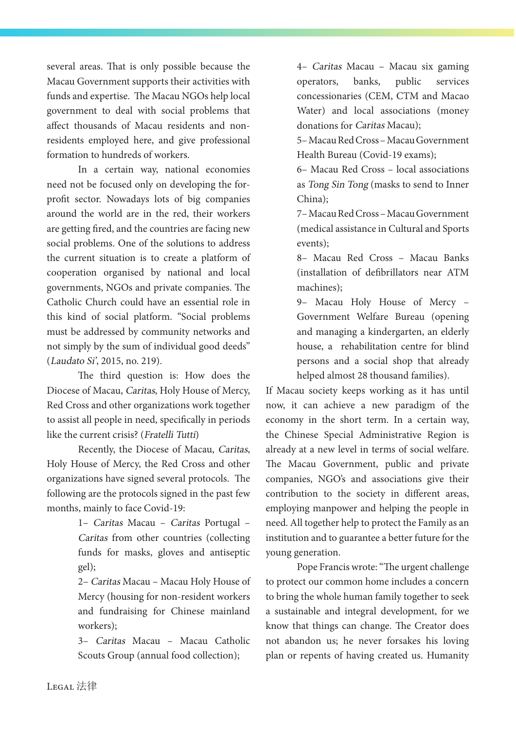several areas. That is only possible because the Macau Government supports their activities with funds and expertise. The Macau NGOs help local government to deal with social problems that affect thousands of Macau residents and nonresidents employed here, and give professional formation to hundreds of workers.

In a certain way, national economies need not be focused only on developing the forprofit sector. Nowadays lots of big companies around the world are in the red, their workers are getting fired, and the countries are facing new social problems. One of the solutions to address the current situation is to create a platform of cooperation organised by national and local governments, NGOs and private companies. The Catholic Church could have an essential role in this kind of social platform. "Social problems must be addressed by community networks and not simply by the sum of individual good deeds" (Laudato Si', 2015, no. 219).

The third question is: How does the Diocese of Macau, Caritas, Holy House of Mercy, Red Cross and other organizations work together to assist all people in need, specifically in periods like the current crisis? (Fratelli Tutti)

Recently, the Diocese of Macau, Caritas, Holy House of Mercy, the Red Cross and other organizations have signed several protocols. The following are the protocols signed in the past few months, mainly to face Covid-19:

> 1– Caritas Macau – Caritas Portugal – Caritas from other countries (collecting funds for masks, gloves and antiseptic gel);

> 2– Caritas Macau – Macau Holy House of Mercy (housing for non-resident workers and fundraising for Chinese mainland workers);

> 3– Caritas Macau – Macau Catholic Scouts Group (annual food collection);

4– Caritas Macau – Macau six gaming operators, banks, public services concessionaries (CEM, CTM and Macao Water) and local associations (money donations for Caritas Macau);

5– Macau Red Cross – Macau Government Health Bureau (Covid-19 exams);

6– Macau Red Cross – local associations as Tong Sin Tong (masks to send to Inner China);

7– Macau Red Cross – Macau Government (medical assistance in Cultural and Sports events);

8– Macau Red Cross – Macau Banks (installation of defibrillators near ATM machines);

9– Macau Holy House of Mercy – Government Welfare Bureau (opening and managing a kindergarten, an elderly house, a rehabilitation centre for blind persons and a social shop that already helped almost 28 thousand families).

If Macau society keeps working as it has until now, it can achieve a new paradigm of the economy in the short term. In a certain way, the Chinese Special Administrative Region is already at a new level in terms of social welfare. The Macau Government, public and private companies, NGO's and associations give their contribution to the society in different areas, employing manpower and helping the people in need. All together help to protect the Family as an institution and to guarantee a better future for the young generation.

Pope Francis wrote: "The urgent challenge to protect our common home includes a concern to bring the whole human family together to seek a sustainable and integral development, for we know that things can change. The Creator does not abandon us; he never forsakes his loving plan or repents of having created us. Humanity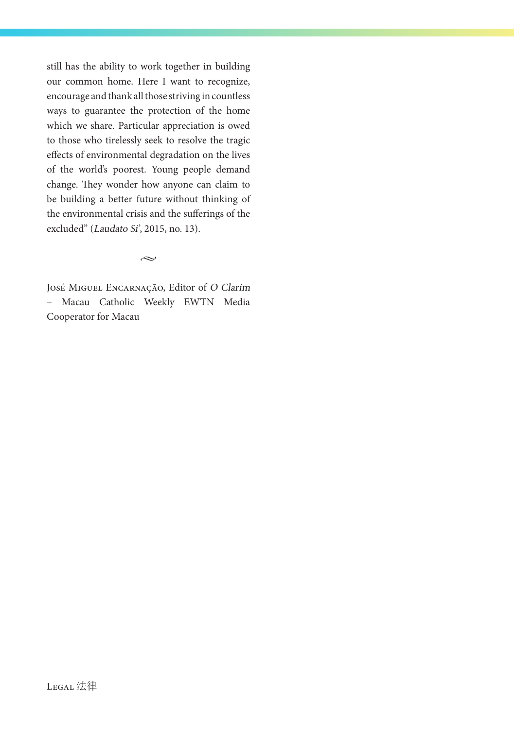still has the ability to work together in building our common home. Here I want to recognize, encourage and thank all those striving in countless ways to guarantee the protection of the home which we share. Particular appreciation is owed to those who tirelessly seek to resolve the tragic effects of environmental degradation on the lives of the world's poorest. Young people demand change. They wonder how anyone can claim to be building a better future without thinking of the environmental crisis and the sufferings of the excluded" (Laudato Si', 2015, no. 13).

 $\sim$ 

José Miguel Encarnação, Editor of O Clarim – Macau Catholic Weekly EWTN Media Cooperator for Macau